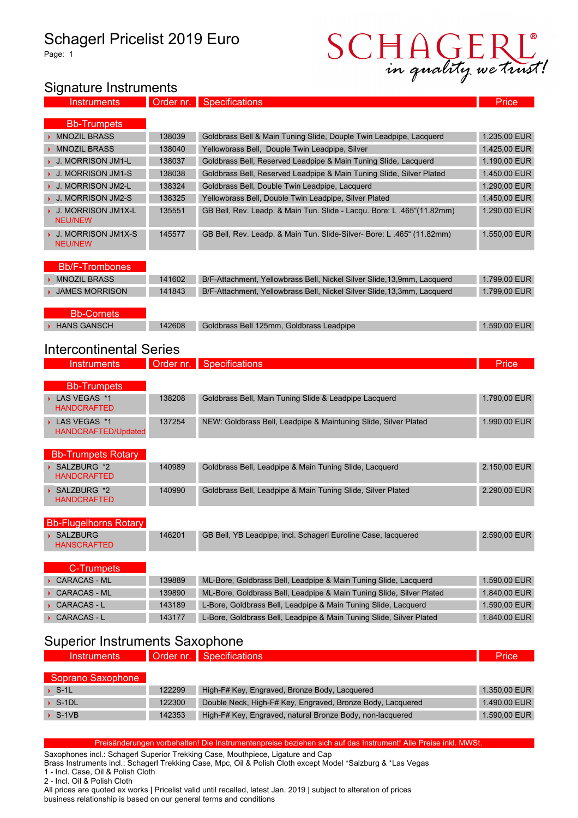# Schagerl Pricelist 2019 Euro

Page: 1



#### Signature Instruments

**Instruments** Order nr. Specifications **Price** 

| <b>Bb-Trumpets</b>                          |        |                                                                         |              |
|---------------------------------------------|--------|-------------------------------------------------------------------------|--------------|
| MNOZIL BRASS                                | 138039 | Goldbrass Bell & Main Tuning Slide, Douple Twin Leadpipe, Lacquerd      | 1.235.00 EUR |
| MNOZIL BRASS                                | 138040 | Yellowbrass Bell, Douple Twin Leadpipe, Silver                          | 1.425,00 EUR |
| <b>J. MORRISON JM1-L</b>                    | 138037 | Goldbrass Bell, Reserved Leadpipe & Main Tuning Slide, Lacquerd         | 1.190.00 EUR |
| <b>J. MORRISON JM1-S</b>                    | 138038 | Goldbrass Bell, Reserved Leadpipe & Main Tuning Slide, Silver Plated    | 1.450.00 EUR |
| ▶ J. MORRISON JM2-L                         | 138324 | Goldbrass Bell, Double Twin Leadpipe, Lacquerd                          | 1.290,00 EUR |
| <b>J. MORRISON JM2-S</b>                    | 138325 | Yellowbrass Bell, Double Twin Leadpipe, Silver Plated                   | 1.450,00 EUR |
| <b>J. MORRISON JM1X-L</b><br><b>NEU/NEW</b> | 135551 | GB Bell, Rev. Leadp. & Main Tun. Slide - Lacqu. Bore: L.465"(11.82mm)   | 1.290,00 EUR |
| J. MORRISON JM1X-S<br><b>NEU/NEW</b>        | 145577 | GB Bell, Rev. Leadp. & Main Tun. Slide-Silver-Bore: L.465" (11.82mm)    | 1.550,00 EUR |
|                                             |        |                                                                         |              |
| <b>Bb/F-Trombones</b>                       |        |                                                                         |              |
| ▶ MNOZIL BRASS                              | 141602 | B/F-Attachment, Yellowbrass Bell, Nickel Silver Slide, 13.9mm, Lacquerd | 1.799.00 EUR |

| <b>JAMES MORRISON</b> | 141843 | B/F-Attachment, Yellowbrass Bell, Nickel Silver Slide, 13,3mm, Lacquerd | 1.799.00 EUR |
|-----------------------|--------|-------------------------------------------------------------------------|--------------|
|                       |        |                                                                         |              |
| <b>Bb-Cornets</b>     |        |                                                                         |              |

→ HANS GANSCH 142608 Goldbrass Bell 125mm, Goldbrass Leadpipe 1.590,00 EUR

| <b>Intercontinental Series</b> |  |
|--------------------------------|--|

| <b>Instruments</b>                  |        | Order nr. Specifications                                        | Price        |
|-------------------------------------|--------|-----------------------------------------------------------------|--------------|
| <b>Bb-Trumpets</b>                  |        |                                                                 |              |
| LAS VEGAS *1<br><b>HANDCRAFTED</b>  | 138208 | Goldbrass Bell, Main Tuning Slide & Leadpipe Lacquerd           | 1.790,00 EUR |
| LAS VEGAS *1<br>HANDCRAFTED/Updated | 137254 | NEW: Goldbrass Bell, Leadpipe & Maintuning Slide, Silver Plated | 1.990.00 EUR |
| <b>Bb-Trumpets Rotary</b>           |        |                                                                 |              |
| SALZBURG *2<br><b>HANDCRAFTED</b>   | 140989 | Goldbrass Bell, Leadpipe & Main Tuning Slide, Lacquerd          | 2.150.00 EUR |

| <b>HANDCRAFTED</b> |        |                                                             |              |
|--------------------|--------|-------------------------------------------------------------|--------------|
| SALZBURG *2        | 140990 | Goldbrass Bell, Leadpipe & Main Tuning Slide, Silver Plated | 2.290.00 EUR |
| __________         |        |                                                             |              |

| <b>Bb-Flugelhorns Rotary</b>   |        |                                                               |              |  |
|--------------------------------|--------|---------------------------------------------------------------|--------------|--|
| SALZBURG<br><b>HANSCRAFTED</b> | 146201 | GB Bell, YB Leadpipe, incl. Schagerl Euroline Case, lacquered | 2.590.00 EUR |  |

| C-Trumpets   |        |                                                                      |              |
|--------------|--------|----------------------------------------------------------------------|--------------|
| CARACAS - ML | 139889 | ML-Bore, Goldbrass Bell, Leadpipe & Main Tuning Slide, Lacquerd      | 1.590.00 EUR |
| CARACAS - ML | 139890 | ML-Bore, Goldbrass Bell, Leadpipe & Main Tuning Slide, Silver Plated | 1.840,00 EUR |
| CARACAS - L  | 143189 | L-Bore, Goldbrass Bell, Leadpipe & Main Tuning Slide, Lacquerd       | 1.590.00 EUR |
| CARACAS - L  | 143177 | L-Bore, Goldbrass Bell, Leadpipe & Main Tuning Slide, Silver Plated  | 1.840,00 EUR |

### Superior Instruments Saxophone

| Instruments            |        | Order nr. Specifications                                   | <b>Price</b> |
|------------------------|--------|------------------------------------------------------------|--------------|
| Soprano Saxophone      |        |                                                            |              |
| $\triangleright$ S-1L  | 122299 | High-F# Key, Engraved, Bronze Body, Lacquered              | 1.350.00 EUR |
| $\triangleright$ S-1DL | 122300 | Double Neck, High-F# Key, Engraved, Bronze Body, Lacquered | 1.490.00 EUR |
| $\triangleright$ S-1VB | 142353 | High-F# Key, Engraved, natural Bronze Body, non-lacquered  | 1.590.00 EUR |

Preisänderungen vorbehalten! Die Instrumentenpreise beziehen sich auf das Instrument! Alle Preise inkl. MWSt.

Saxophones incl.: Schagerl Superior Trekking Case, Mouthpiece, Ligature and Cap

Brass Instruments incl.: Schagerl Trekking Case, Mpc, Oil & Polish Cloth except Model \*Salzburg & \*Las Vegas 1 - Incl. Case, Oil & Polish Cloth

2 - Incl. Oil & Polish Cloth

All prices are quoted ex works | Pricelist valid until recalled, latest Jan. 2019 | subject to alteration of prices business relationship is based on our general terms and conditions